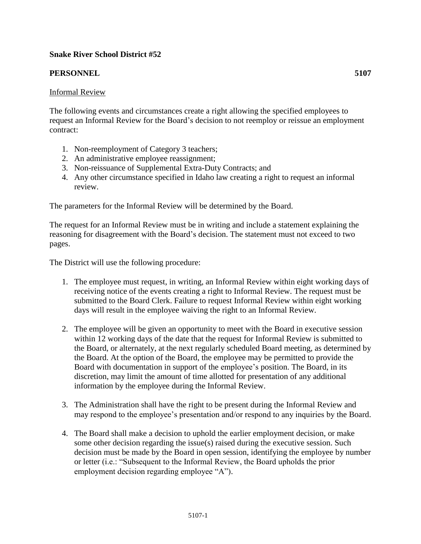## **Snake River School District #52**

## **PERSONNEL 5107**

## Informal Review

The following events and circumstances create a right allowing the specified employees to request an Informal Review for the Board's decision to not reemploy or reissue an employment contract:

- 1. Non-reemployment of Category 3 teachers;
- 2. An administrative employee reassignment;
- 3. Non-reissuance of Supplemental Extra-Duty Contracts; and
- 4. Any other circumstance specified in Idaho law creating a right to request an informal review.

The parameters for the Informal Review will be determined by the Board.

The request for an Informal Review must be in writing and include a statement explaining the reasoning for disagreement with the Board's decision. The statement must not exceed to two pages.

The District will use the following procedure:

- 1. The employee must request, in writing, an Informal Review within eight working days of receiving notice of the events creating a right to Informal Review. The request must be submitted to the Board Clerk. Failure to request Informal Review within eight working days will result in the employee waiving the right to an Informal Review.
- 2. The employee will be given an opportunity to meet with the Board in executive session within 12 working days of the date that the request for Informal Review is submitted to the Board, or alternately, at the next regularly scheduled Board meeting, as determined by the Board. At the option of the Board, the employee may be permitted to provide the Board with documentation in support of the employee's position. The Board, in its discretion, may limit the amount of time allotted for presentation of any additional information by the employee during the Informal Review.
- 3. The Administration shall have the right to be present during the Informal Review and may respond to the employee's presentation and/or respond to any inquiries by the Board.
- 4. The Board shall make a decision to uphold the earlier employment decision, or make some other decision regarding the issue(s) raised during the executive session. Such decision must be made by the Board in open session, identifying the employee by number or letter (i.e.: "Subsequent to the Informal Review, the Board upholds the prior employment decision regarding employee "A").